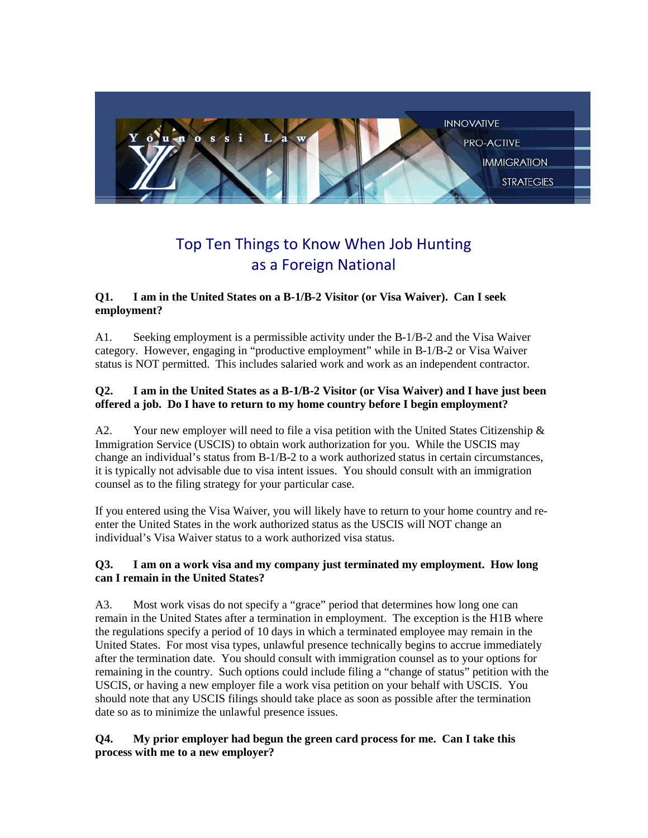

# Top Ten Things to Know When Job Hunting as a Foreign National

## **Q1. I am in the United States on a B-1/B-2 Visitor (or Visa Waiver). Can I seek employment?**

A1. Seeking employment is a permissible activity under the B-1/B-2 and the Visa Waiver category. However, engaging in "productive employment" while in B-1/B-2 or Visa Waiver status is NOT permitted. This includes salaried work and work as an independent contractor.

## **Q2. I am in the United States as a B-1/B-2 Visitor (or Visa Waiver) and I have just been offered a job. Do I have to return to my home country before I begin employment?**

A2. Your new employer will need to file a visa petition with the United States Citizenship  $\&$ Immigration Service (USCIS) to obtain work authorization for you. While the USCIS may change an individual's status from B-1/B-2 to a work authorized status in certain circumstances, it is typically not advisable due to visa intent issues. You should consult with an immigration counsel as to the filing strategy for your particular case.

If you entered using the Visa Waiver, you will likely have to return to your home country and reenter the United States in the work authorized status as the USCIS will NOT change an individual's Visa Waiver status to a work authorized visa status.

## **Q3. I am on a work visa and my company just terminated my employment. How long can I remain in the United States?**

A3. Most work visas do not specify a "grace" period that determines how long one can remain in the United States after a termination in employment. The exception is the H1B where the regulations specify a period of 10 days in which a terminated employee may remain in the United States. For most visa types, unlawful presence technically begins to accrue immediately after the termination date. You should consult with immigration counsel as to your options for remaining in the country. Such options could include filing a "change of status" petition with the USCIS, or having a new employer file a work visa petition on your behalf with USCIS. You should note that any USCIS filings should take place as soon as possible after the termination date so as to minimize the unlawful presence issues.

## **Q4. My prior employer had begun the green card process for me. Can I take this process with me to a new employer?**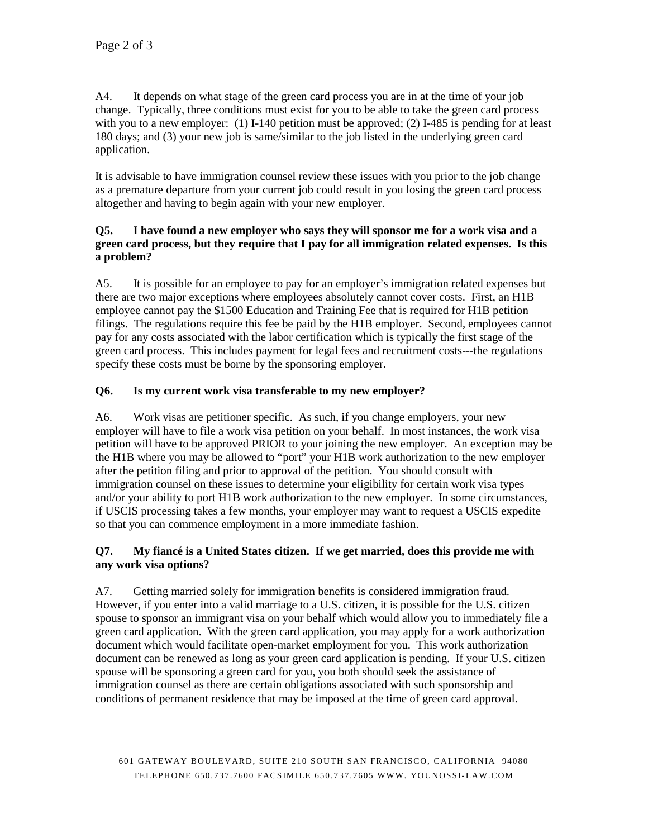A4. It depends on what stage of the green card process you are in at the time of your job change. Typically, three conditions must exist for you to be able to take the green card process with you to a new employer: (1) I-140 petition must be approved; (2) I-485 is pending for at least 180 days; and (3) your new job is same/similar to the job listed in the underlying green card application.

It is advisable to have immigration counsel review these issues with you prior to the job change as a premature departure from your current job could result in you losing the green card process altogether and having to begin again with your new employer.

## **Q5. I have found a new employer who says they will sponsor me for a work visa and a green card process, but they require that I pay for all immigration related expenses. Is this a problem?**

A5. It is possible for an employee to pay for an employer's immigration related expenses but there are two major exceptions where employees absolutely cannot cover costs. First, an H1B employee cannot pay the \$1500 Education and Training Fee that is required for H1B petition filings. The regulations require this fee be paid by the H1B employer. Second, employees cannot pay for any costs associated with the labor certification which is typically the first stage of the green card process. This includes payment for legal fees and recruitment costs---the regulations specify these costs must be borne by the sponsoring employer.

# **Q6. Is my current work visa transferable to my new employer?**

A6. Work visas are petitioner specific. As such, if you change employers, your new employer will have to file a work visa petition on your behalf. In most instances, the work visa petition will have to be approved PRIOR to your joining the new employer. An exception may be the H1B where you may be allowed to "port" your H1B work authorization to the new employer after the petition filing and prior to approval of the petition. You should consult with immigration counsel on these issues to determine your eligibility for certain work visa types and/or your ability to port H1B work authorization to the new employer. In some circumstances, if USCIS processing takes a few months, your employer may want to request a USCIS expedite so that you can commence employment in a more immediate fashion.

## **Q7. My fiancé is a United States citizen. If we get married, does this provide me with any work visa options?**

A7. Getting married solely for immigration benefits is considered immigration fraud. However, if you enter into a valid marriage to a U.S. citizen, it is possible for the U.S. citizen spouse to sponsor an immigrant visa on your behalf which would allow you to immediately file a green card application. With the green card application, you may apply for a work authorization document which would facilitate open-market employment for you. This work authorization document can be renewed as long as your green card application is pending. If your U.S. citizen spouse will be sponsoring a green card for you, you both should seek the assistance of immigration counsel as there are certain obligations associated with such sponsorship and conditions of permanent residence that may be imposed at the time of green card approval.